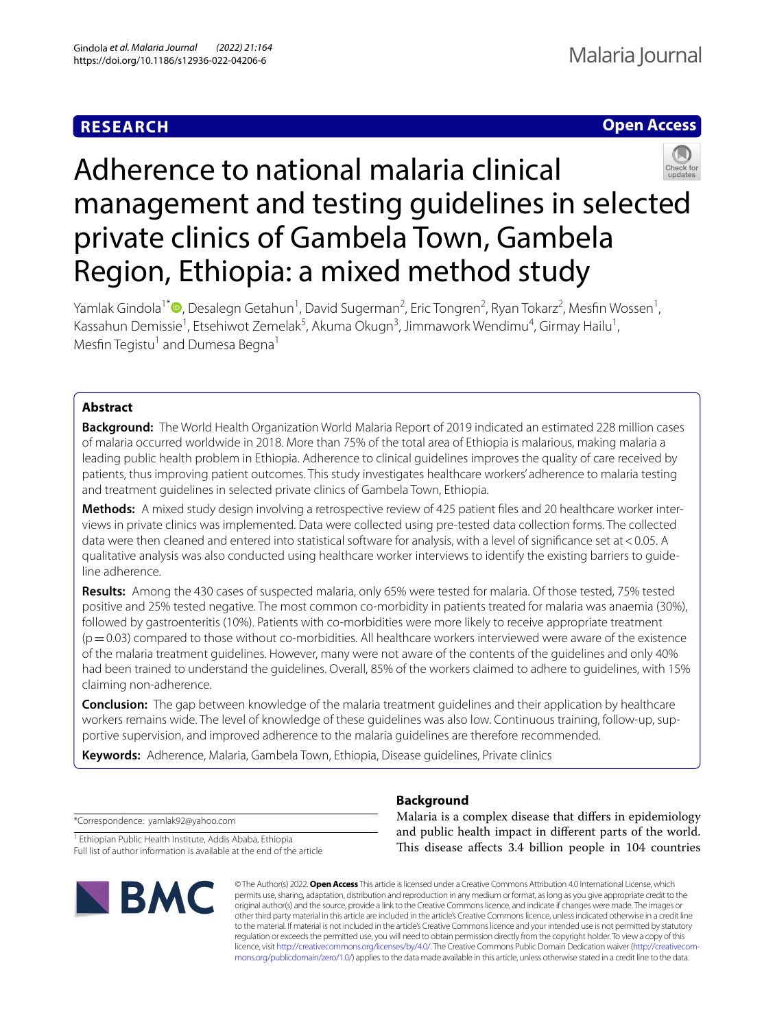# **RESEARCH**





# Adherence to national malaria clinical management and testing guidelines in selected private clinics of Gambela Town, Gambela Region, Ethiopia: a mixed method study

Yamlak Gindola<sup>1[\\*](http://orcid.org/0000-0001-9210-9246)</sup> D, Desalegn Getahun<sup>1</sup>, David Sugerman<sup>2</sup>, Eric Tongren<sup>2</sup>, Ryan Tokarz<sup>2</sup>, Mesfin Wossen<sup>1</sup>, Kassahun Demissie<sup>1</sup>, Etsehiwot Zemelak<sup>5</sup>, Akuma Okugn<sup>3</sup>, Jimmawork Wendimu<sup>4</sup>, Girmay Hailu<sup>1</sup>, Mesfin Tegistu<sup>1</sup> and Dumesa Begna<sup>1</sup>

# **Abstract**

**Background:** The World Health Organization World Malaria Report of 2019 indicated an estimated 228 million cases of malaria occurred worldwide in 2018. More than 75% of the total area of Ethiopia is malarious, making malaria a leading public health problem in Ethiopia. Adherence to clinical guidelines improves the quality of care received by patients, thus improving patient outcomes. This study investigates healthcare workers' adherence to malaria testing and treatment guidelines in selected private clinics of Gambela Town, Ethiopia.

**Methods:** A mixed study design involving a retrospective review of 425 patient fles and 20 healthcare worker interviews in private clinics was implemented. Data were collected using pre-tested data collection forms. The collected data were then cleaned and entered into statistical software for analysis, with a level of significance set at <0.05. A qualitative analysis was also conducted using healthcare worker interviews to identify the existing barriers to guideline adherence.

**Results:** Among the 430 cases of suspected malaria, only 65% were tested for malaria. Of those tested, 75% tested positive and 25% tested negative. The most common co-morbidity in patients treated for malaria was anaemia (30%), followed by gastroenteritis (10%). Patients with co-morbidities were more likely to receive appropriate treatment  $(p=0.03)$  compared to those without co-morbidities. All healthcare workers interviewed were aware of the existence of the malaria treatment guidelines. However, many were not aware of the contents of the guidelines and only 40% had been trained to understand the guidelines. Overall, 85% of the workers claimed to adhere to guidelines, with 15% claiming non-adherence.

**Conclusion:** The gap between knowledge of the malaria treatment guidelines and their application by healthcare workers remains wide. The level of knowledge of these guidelines was also low. Continuous training, follow-up, supportive supervision, and improved adherence to the malaria guidelines are therefore recommended.

**Keywords:** Adherence, Malaria, Gambela Town, Ethiopia, Disease guidelines, Private clinics

**Background**

\*Correspondence: yamlak92@yahoo.com

<sup>1</sup> Ethiopian Public Health Institute, Addis Ababa, Ethiopia Full list of author information is available at the end of the article



Malaria is a complex disease that difers in epidemiology and public health impact in diferent parts of the world. This disease affects 3.4 billion people in 104 countries

© The Author(s) 2022. **Open Access** This article is licensed under a Creative Commons Attribution 4.0 International License, which permits use, sharing, adaptation, distribution and reproduction in any medium or format, as long as you give appropriate credit to the original author(s) and the source, provide a link to the Creative Commons licence, and indicate if changes were made. The images or other third party material in this article are included in the article's Creative Commons licence, unless indicated otherwise in a credit line to the material. If material is not included in the article's Creative Commons licence and your intended use is not permitted by statutory regulation or exceeds the permitted use, you will need to obtain permission directly from the copyright holder. To view a copy of this licence, visit [http://creativecommons.org/licenses/by/4.0/.](http://creativecommons.org/licenses/by/4.0/) The Creative Commons Public Domain Dedication waiver ([http://creativecom](http://creativecommons.org/publicdomain/zero/1.0/)[mons.org/publicdomain/zero/1.0/\)](http://creativecommons.org/publicdomain/zero/1.0/) applies to the data made available in this article, unless otherwise stated in a credit line to the data.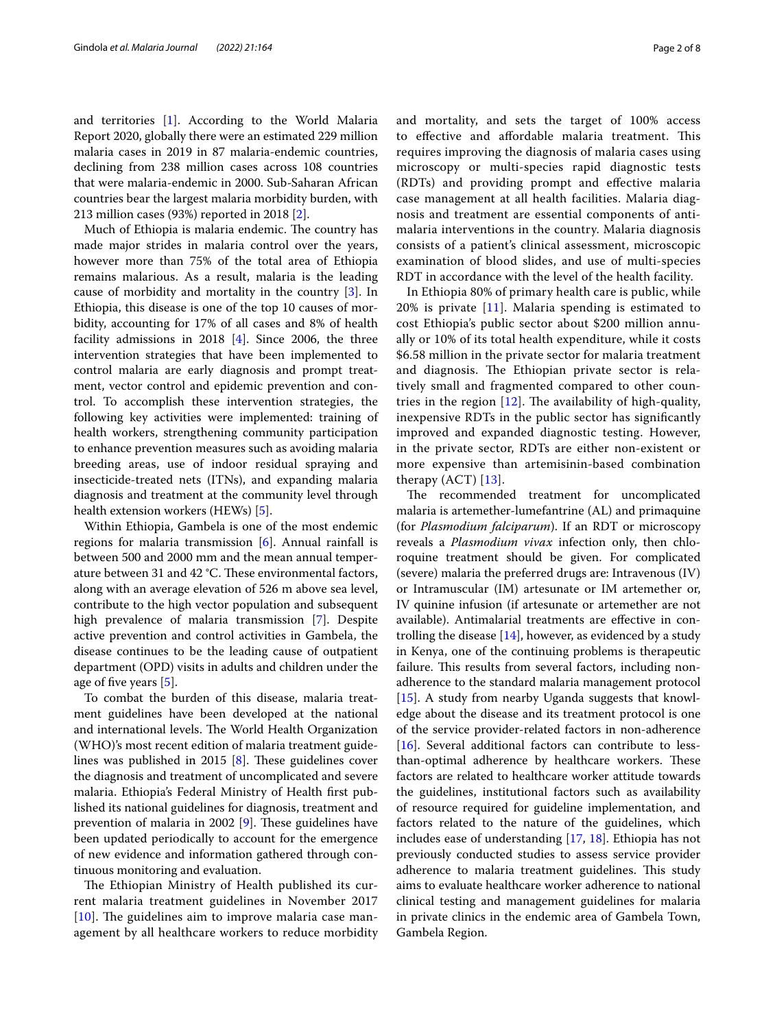and territories [\[1](#page-6-0)]. According to the World Malaria Report 2020, globally there were an estimated 229 million malaria cases in 2019 in 87 malaria-endemic countries, declining from 238 million cases across 108 countries that were malaria-endemic in 2000. Sub-Saharan African countries bear the largest malaria morbidity burden, with 213 million cases (93%) reported in 2018 [[2\]](#page-6-1).

Much of Ethiopia is malaria endemic. The country has made major strides in malaria control over the years, however more than 75% of the total area of Ethiopia remains malarious. As a result, malaria is the leading cause of morbidity and mortality in the country [[3\]](#page-6-2). In Ethiopia, this disease is one of the top 10 causes of morbidity, accounting for 17% of all cases and 8% of health facility admissions in 2018 [\[4](#page-6-3)]. Since 2006, the three intervention strategies that have been implemented to control malaria are early diagnosis and prompt treatment, vector control and epidemic prevention and control. To accomplish these intervention strategies, the following key activities were implemented: training of health workers, strengthening community participation to enhance prevention measures such as avoiding malaria breeding areas, use of indoor residual spraying and insecticide-treated nets (ITNs), and expanding malaria diagnosis and treatment at the community level through health extension workers (HEWs) [\[5](#page-6-4)].

Within Ethiopia, Gambela is one of the most endemic regions for malaria transmission [[6\]](#page-6-5). Annual rainfall is between 500 and 2000 mm and the mean annual temperature between 31 and 42 °C. These environmental factors, along with an average elevation of 526 m above sea level, contribute to the high vector population and subsequent high prevalence of malaria transmission [\[7\]](#page-6-6). Despite active prevention and control activities in Gambela, the disease continues to be the leading cause of outpatient department (OPD) visits in adults and children under the age of fve years [\[5](#page-6-4)].

To combat the burden of this disease, malaria treatment guidelines have been developed at the national and international levels. The World Health Organization (WHO)'s most recent edition of malaria treatment guidelines was published in 2015  $[8]$  $[8]$ . These guidelines cover the diagnosis and treatment of uncomplicated and severe malaria. Ethiopia's Federal Ministry of Health frst published its national guidelines for diagnosis, treatment and prevention of malaria in 2002  $[9]$  $[9]$ . These guidelines have been updated periodically to account for the emergence of new evidence and information gathered through continuous monitoring and evaluation.

The Ethiopian Ministry of Health published its current malaria treatment guidelines in November 2017  $[10]$  $[10]$  $[10]$ . The guidelines aim to improve malaria case management by all healthcare workers to reduce morbidity and mortality, and sets the target of 100% access to effective and affordable malaria treatment. This requires improving the diagnosis of malaria cases using microscopy or multi-species rapid diagnostic tests (RDTs) and providing prompt and efective malaria case management at all health facilities. Malaria diagnosis and treatment are essential components of antimalaria interventions in the country. Malaria diagnosis consists of a patient's clinical assessment, microscopic examination of blood slides, and use of multi-species RDT in accordance with the level of the health facility.

In Ethiopia 80% of primary health care is public, while 20% is private [[11](#page-6-10)]. Malaria spending is estimated to cost Ethiopia's public sector about \$200 million annually or 10% of its total health expenditure, while it costs \$6.58 million in the private sector for malaria treatment and diagnosis. The Ethiopian private sector is relatively small and fragmented compared to other countries in the region  $[12]$  $[12]$  $[12]$ . The availability of high-quality, inexpensive RDTs in the public sector has signifcantly improved and expanded diagnostic testing. However, in the private sector, RDTs are either non-existent or more expensive than artemisinin-based combination therapy  $(ACT)$  [\[13](#page-6-12)].

The recommended treatment for uncomplicated malaria is artemether-lumefantrine (AL) and primaquine (for *Plasmodium falciparum*). If an RDT or microscopy reveals a *Plasmodium vivax* infection only, then chloroquine treatment should be given. For complicated (severe) malaria the preferred drugs are: Intravenous (IV) or Intramuscular (IM) artesunate or IM artemether or, IV quinine infusion (if artesunate or artemether are not available). Antimalarial treatments are efective in controlling the disease [\[14\]](#page-6-13), however, as evidenced by a study in Kenya, one of the continuing problems is therapeutic failure. This results from several factors, including nonadherence to the standard malaria management protocol [[15\]](#page-6-14). A study from nearby Uganda suggests that knowledge about the disease and its treatment protocol is one of the service provider-related factors in non-adherence [[16\]](#page-6-15). Several additional factors can contribute to lessthan-optimal adherence by healthcare workers. These factors are related to healthcare worker attitude towards the guidelines, institutional factors such as availability of resource required for guideline implementation, and factors related to the nature of the guidelines, which includes ease of understanding [\[17,](#page-6-16) [18\]](#page-6-17). Ethiopia has not previously conducted studies to assess service provider adherence to malaria treatment guidelines. This study aims to evaluate healthcare worker adherence to national clinical testing and management guidelines for malaria in private clinics in the endemic area of Gambela Town, Gambela Region.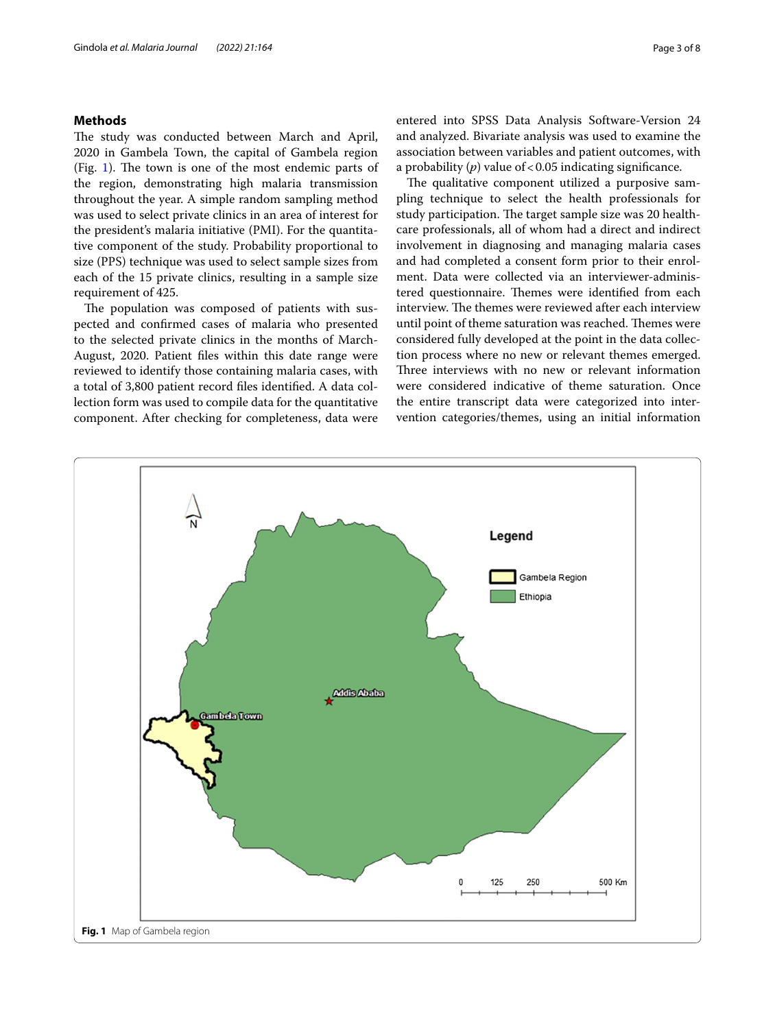# **Methods**

The study was conducted between March and April, 2020 in Gambela Town, the capital of Gambela region (Fig. [1](#page-2-0)). The town is one of the most endemic parts of the region, demonstrating high malaria transmission throughout the year. A simple random sampling method was used to select private clinics in an area of interest for the president's malaria initiative (PMI). For the quantitative component of the study. Probability proportional to size (PPS) technique was used to select sample sizes from each of the 15 private clinics, resulting in a sample size requirement of 425.

The population was composed of patients with suspected and confrmed cases of malaria who presented to the selected private clinics in the months of March-August, 2020. Patient fles within this date range were reviewed to identify those containing malaria cases, with a total of 3,800 patient record fles identifed. A data collection form was used to compile data for the quantitative component. After checking for completeness, data were entered into SPSS Data Analysis Software-Version 24 and analyzed. Bivariate analysis was used to examine the association between variables and patient outcomes, with a probability  $(p)$  value of < 0.05 indicating significance.

The qualitative component utilized a purposive sampling technique to select the health professionals for study participation. The target sample size was 20 healthcare professionals, all of whom had a direct and indirect involvement in diagnosing and managing malaria cases and had completed a consent form prior to their enrolment. Data were collected via an interviewer-administered questionnaire. Themes were identified from each interview. The themes were reviewed after each interview until point of theme saturation was reached. Themes were considered fully developed at the point in the data collection process where no new or relevant themes emerged. Three interviews with no new or relevant information were considered indicative of theme saturation. Once the entire transcript data were categorized into intervention categories/themes, using an initial information

<span id="page-2-0"></span>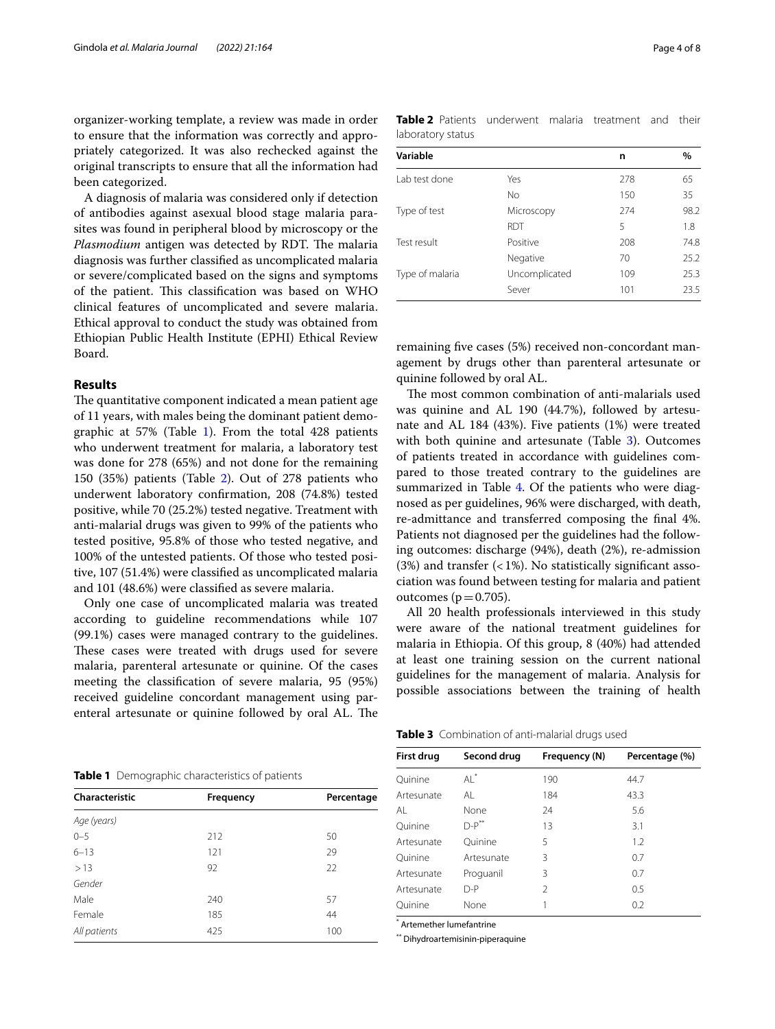organizer-working template, a review was made in order to ensure that the information was correctly and appropriately categorized. It was also rechecked against the original transcripts to ensure that all the information had been categorized.

A diagnosis of malaria was considered only if detection of antibodies against asexual blood stage malaria parasites was found in peripheral blood by microscopy or the Plasmodium antigen was detected by RDT. The malaria diagnosis was further classifed as uncomplicated malaria or severe/complicated based on the signs and symptoms of the patient. This classification was based on WHO clinical features of uncomplicated and severe malaria. Ethical approval to conduct the study was obtained from Ethiopian Public Health Institute (EPHI) Ethical Review Board.

### **Results**

The quantitative component indicated a mean patient age of 11 years, with males being the dominant patient demographic at 57% (Table [1\)](#page-3-0). From the total 428 patients who underwent treatment for malaria, a laboratory test was done for 278 (65%) and not done for the remaining 150 (35%) patients (Table [2\)](#page-3-1). Out of 278 patients who underwent laboratory confrmation, 208 (74.8%) tested positive, while 70 (25.2%) tested negative. Treatment with anti-malarial drugs was given to 99% of the patients who tested positive, 95.8% of those who tested negative, and 100% of the untested patients. Of those who tested positive, 107 (51.4%) were classifed as uncomplicated malaria and 101 (48.6%) were classifed as severe malaria.

Only one case of uncomplicated malaria was treated according to guideline recommendations while 107 (99.1%) cases were managed contrary to the guidelines. These cases were treated with drugs used for severe malaria, parenteral artesunate or quinine. Of the cases meeting the classifcation of severe malaria, 95 (95%) received guideline concordant management using parenteral artesunate or quinine followed by oral AL. The

<span id="page-3-0"></span>

|  |  | <b>Table 1</b> Demographic characteristics of patients |  |
|--|--|--------------------------------------------------------|--|
|--|--|--------------------------------------------------------|--|

| Characteristic | Frequency | Percentage |  |  |
|----------------|-----------|------------|--|--|
| Age (years)    |           |            |  |  |
| $0 - 5$        | 212       | 50         |  |  |
| $6 - 13$       | 121       | 29         |  |  |
| >13            | 92        | 22         |  |  |
| Gender         |           |            |  |  |
| Male           | 240       | 57         |  |  |
| Female         | 185       | 44         |  |  |
| All patients   | 425       | 100        |  |  |

<span id="page-3-1"></span>

| <b>Table 2</b> Patients underwent malaria treatment and their |  |  |  |
|---------------------------------------------------------------|--|--|--|
| laboratory status                                             |  |  |  |

| Variable        |               | n   | $\%$ |
|-----------------|---------------|-----|------|
| Lab test done   | Yes           | 278 | 65   |
|                 | No            | 150 | 35   |
| Type of test    | Microscopy    | 274 | 98.2 |
|                 | <b>RDT</b>    | 5   | 1.8  |
| Test result     | Positive      | 208 | 74.8 |
|                 | Negative      | 70  | 25.2 |
| Type of malaria | Uncomplicated | 109 | 25.3 |
|                 | Sever         | 101 | 23.5 |

remaining fve cases (5%) received non-concordant management by drugs other than parenteral artesunate or quinine followed by oral AL.

The most common combination of anti-malarials used was quinine and AL 190 (44.7%), followed by artesunate and AL 184 (43%). Five patients (1%) were treated with both quinine and artesunate (Table [3\)](#page-3-2). Outcomes of patients treated in accordance with guidelines compared to those treated contrary to the guidelines are summarized in Table [4](#page-4-0). Of the patients who were diagnosed as per guidelines, 96% were discharged, with death, re-admittance and transferred composing the fnal 4%. Patients not diagnosed per the guidelines had the following outcomes: discharge (94%), death (2%), re-admission (3%) and transfer  $(<1%)$ . No statistically significant association was found between testing for malaria and patient outcomes ( $p=0.705$ ).

All 20 health professionals interviewed in this study were aware of the national treatment guidelines for malaria in Ethiopia. Of this group, 8 (40%) had attended at least one training session on the current national guidelines for the management of malaria. Analysis for possible associations between the training of health

<span id="page-3-2"></span>**Table 3** Combination of anti-malarial drugs used

| First drug | Second drug | Frequency (N) | Percentage (%) |
|------------|-------------|---------------|----------------|
| Ouinine    | $Al^*$      | 190           | 44.7           |
| Artesunate | AL          | 184           | 43.3           |
| AL         | None        | 24            | 5.6            |
| Ouinine    | $D-P$ **    | 13            | 3.1            |
| Artesunate | Ouinine     | 5             | 1.2            |
| Ouinine    | Artesunate  | 3             | 0.7            |
| Artesunate | Proguanil   | 3             | 0.7            |
| Artesunate | $D-P$       | 2             | 0.5            |
| Ouinine    | None        |               | 0.2            |

\* Artemether lumefantrine

\*\* Dihydroartemisinin-piperaquine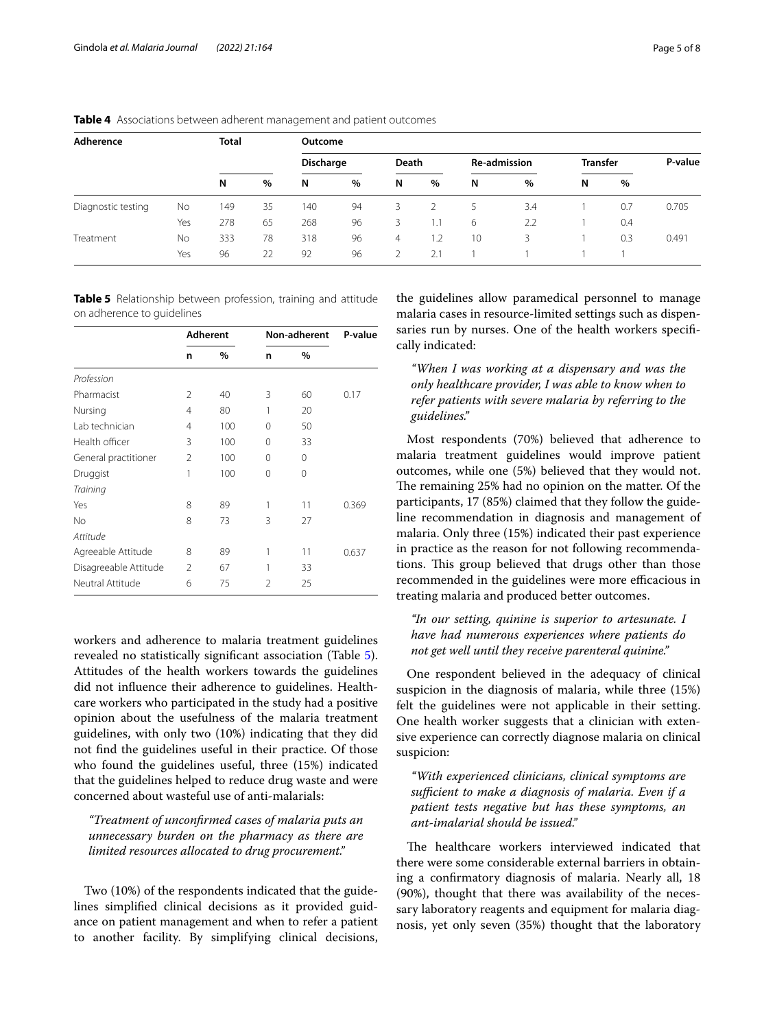| Adherence              |     | <b>Total</b> |      | Outcome   |      |                |     |              |     |                 |      |         |
|------------------------|-----|--------------|------|-----------|------|----------------|-----|--------------|-----|-----------------|------|---------|
|                        |     |              |      | Discharge |      | Death          |     | Re-admission |     | <b>Transfer</b> |      | P-value |
|                        |     | N            | $\%$ | N         | $\%$ | N              | %   | N            | %   | N               | $\%$ |         |
| Diagnostic testing     | No  | 149          | 35   | 140       | 94   | 3              |     |              | 3.4 |                 | 0.7  | 0.705   |
|                        | Yes | 278          | 65   | 268       | 96   | 3              | 1.1 | 6            | 2.2 |                 | 0.4  |         |
| Treatment<br><b>No</b> |     | 333          | 78   | 318       | 96   | $\overline{4}$ | 1.2 | 10           | 3   |                 | 0.3  | 0.491   |
|                        | Yes | 96           | 22   | 92        | 96   |                | 2.1 |              |     |                 |      |         |

<span id="page-4-0"></span>**Table 4** Associations between adherent management and patient outcomes

<span id="page-4-1"></span>**Table 5** Relationship between profession, training and attitude on adherence to guidelines

|                       | <b>Adherent</b> |      | Non-adherent   | P-value  |       |
|-----------------------|-----------------|------|----------------|----------|-------|
|                       | n               | $\%$ | n              | $\%$     |       |
| Profession            |                 |      |                |          |       |
| Pharmacist            | $\mathfrak{D}$  | 40   | 3              | 60       | 0.17  |
| Nursing               | $\overline{4}$  | 80   | 1              | 20       |       |
| Lab technician        | $\overline{4}$  | 100  | 0              | 50       |       |
| Health officer        | 3               | 100  | $\Omega$       | 33       |       |
| General practitioner  | $\mathfrak{D}$  | 100  | 0              | $\Omega$ |       |
| Druggist              | 1               | 100  | 0              | $\Omega$ |       |
| <b>Training</b>       |                 |      |                |          |       |
| Yes                   | 8               | 89   | 1              | 11       | 0.369 |
| No                    | 8               | 73   | 3              | 27       |       |
| Attitude              |                 |      |                |          |       |
| Agreeable Attitude    | 8               | 89   |                | 11       | 0.637 |
| Disagreeable Attitude | $\mathfrak{D}$  | 67   |                | 33       |       |
| Neutral Attitude      | 6               | 75   | $\mathfrak{D}$ | 25       |       |

workers and adherence to malaria treatment guidelines revealed no statistically signifcant association (Table [5](#page-4-1)). Attitudes of the health workers towards the guidelines did not infuence their adherence to guidelines. Healthcare workers who participated in the study had a positive opinion about the usefulness of the malaria treatment guidelines, with only two (10%) indicating that they did not fnd the guidelines useful in their practice. Of those who found the guidelines useful, three (15%) indicated that the guidelines helped to reduce drug waste and were concerned about wasteful use of anti-malarials:

*"Treatment of unconfrmed cases of malaria puts an unnecessary burden on the pharmacy as there are limited resources allocated to drug procurement."*

Two (10%) of the respondents indicated that the guidelines simplifed clinical decisions as it provided guidance on patient management and when to refer a patient to another facility. By simplifying clinical decisions,

the guidelines allow paramedical personnel to manage malaria cases in resource-limited settings such as dispensaries run by nurses. One of the health workers specifcally indicated:

*"When I was working at a dispensary and was the only healthcare provider, I was able to know when to refer patients with severe malaria by referring to the guidelines."*

Most respondents (70%) believed that adherence to malaria treatment guidelines would improve patient outcomes, while one (5%) believed that they would not. The remaining 25% had no opinion on the matter. Of the participants, 17 (85%) claimed that they follow the guideline recommendation in diagnosis and management of malaria. Only three (15%) indicated their past experience in practice as the reason for not following recommendations. This group believed that drugs other than those recommended in the guidelines were more efficacious in treating malaria and produced better outcomes.

*"In our setting, quinine is superior to artesunate. I have had numerous experiences where patients do not get well until they receive parenteral quinine."*

One respondent believed in the adequacy of clinical suspicion in the diagnosis of malaria, while three (15%) felt the guidelines were not applicable in their setting. One health worker suggests that a clinician with extensive experience can correctly diagnose malaria on clinical suspicion:

*"With experienced clinicians, clinical symptoms are*  sufficient to make a diagnosis of malaria. Even if a *patient tests negative but has these symptoms, an ant-imalarial should be issued."*

The healthcare workers interviewed indicated that there were some considerable external barriers in obtaining a confrmatory diagnosis of malaria. Nearly all, 18 (90%), thought that there was availability of the necessary laboratory reagents and equipment for malaria diagnosis, yet only seven (35%) thought that the laboratory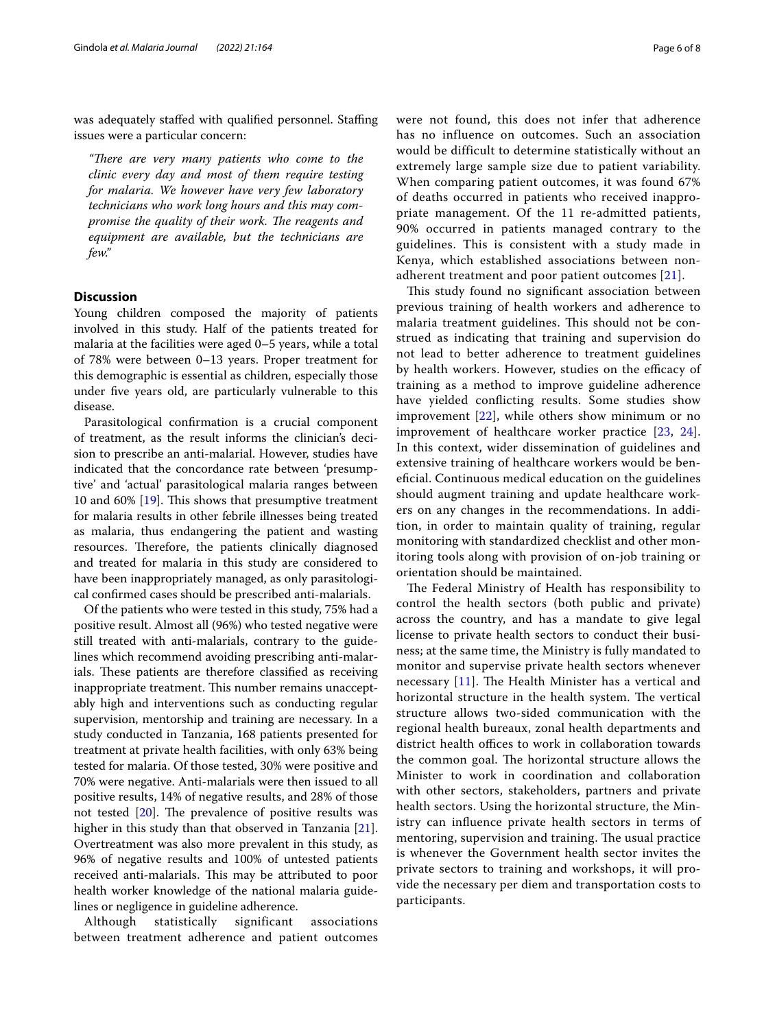was adequately staffed with qualified personnel. Staffing issues were a particular concern:

"There are very many patients who come to the *clinic every day and most of them require testing for malaria. We however have very few laboratory technicians who work long hours and this may compromise the quality of their work. The reagents and equipment are available, but the technicians are few."*

# **Discussion**

Young children composed the majority of patients involved in this study. Half of the patients treated for malaria at the facilities were aged 0–5 years, while a total of 78% were between 0–13 years. Proper treatment for this demographic is essential as children, especially those under five years old, are particularly vulnerable to this disease.

Parasitological confrmation is a crucial component of treatment, as the result informs the clinician's decision to prescribe an anti-malarial. However, studies have indicated that the concordance rate between 'presumptive' and 'actual' parasitological malaria ranges between 10 and 60%  $[19]$  $[19]$ . This shows that presumptive treatment for malaria results in other febrile illnesses being treated as malaria, thus endangering the patient and wasting resources. Therefore, the patients clinically diagnosed and treated for malaria in this study are considered to have been inappropriately managed, as only parasitological confrmed cases should be prescribed anti-malarials.

Of the patients who were tested in this study, 75% had a positive result. Almost all (96%) who tested negative were still treated with anti-malarials, contrary to the guidelines which recommend avoiding prescribing anti-malarials. These patients are therefore classified as receiving inappropriate treatment. This number remains unacceptably high and interventions such as conducting regular supervision, mentorship and training are necessary. In a study conducted in Tanzania, 168 patients presented for treatment at private health facilities, with only 63% being tested for malaria. Of those tested, 30% were positive and 70% were negative. Anti-malarials were then issued to all positive results, 14% of negative results, and 28% of those not tested  $[20]$ . The prevalence of positive results was higher in this study than that observed in Tanzania [\[21](#page-7-0)]. Overtreatment was also more prevalent in this study, as 96% of negative results and 100% of untested patients received anti-malarials. This may be attributed to poor health worker knowledge of the national malaria guidelines or negligence in guideline adherence.

Although statistically significant associations between treatment adherence and patient outcomes were not found, this does not infer that adherence has no influence on outcomes. Such an association would be difficult to determine statistically without an extremely large sample size due to patient variability. When comparing patient outcomes, it was found 67% of deaths occurred in patients who received inappropriate management. Of the 11 re-admitted patients, 90% occurred in patients managed contrary to the guidelines. This is consistent with a study made in Kenya, which established associations between nonadherent treatment and poor patient outcomes [[21\]](#page-7-0).

This study found no significant association between previous training of health workers and adherence to malaria treatment guidelines. This should not be construed as indicating that training and supervision do not lead to better adherence to treatment guidelines by health workers. However, studies on the efficacy of training as a method to improve guideline adherence have yielded conficting results. Some studies show improvement [\[22\]](#page-7-1), while others show minimum or no improvement of healthcare worker practice [\[23,](#page-7-2) [24](#page-7-3)]. In this context, wider dissemination of guidelines and extensive training of healthcare workers would be benefcial. Continuous medical education on the guidelines should augment training and update healthcare workers on any changes in the recommendations. In addition, in order to maintain quality of training, regular monitoring with standardized checklist and other monitoring tools along with provision of on-job training or orientation should be maintained.

The Federal Ministry of Health has responsibility to control the health sectors (both public and private) across the country, and has a mandate to give legal license to private health sectors to conduct their business; at the same time, the Ministry is fully mandated to monitor and supervise private health sectors whenever necessary  $[11]$  $[11]$ . The Health Minister has a vertical and horizontal structure in the health system. The vertical structure allows two-sided communication with the regional health bureaux, zonal health departments and district health offices to work in collaboration towards the common goal. The horizontal structure allows the Minister to work in coordination and collaboration with other sectors, stakeholders, partners and private health sectors. Using the horizontal structure, the Ministry can infuence private health sectors in terms of mentoring, supervision and training. The usual practice is whenever the Government health sector invites the private sectors to training and workshops, it will provide the necessary per diem and transportation costs to participants.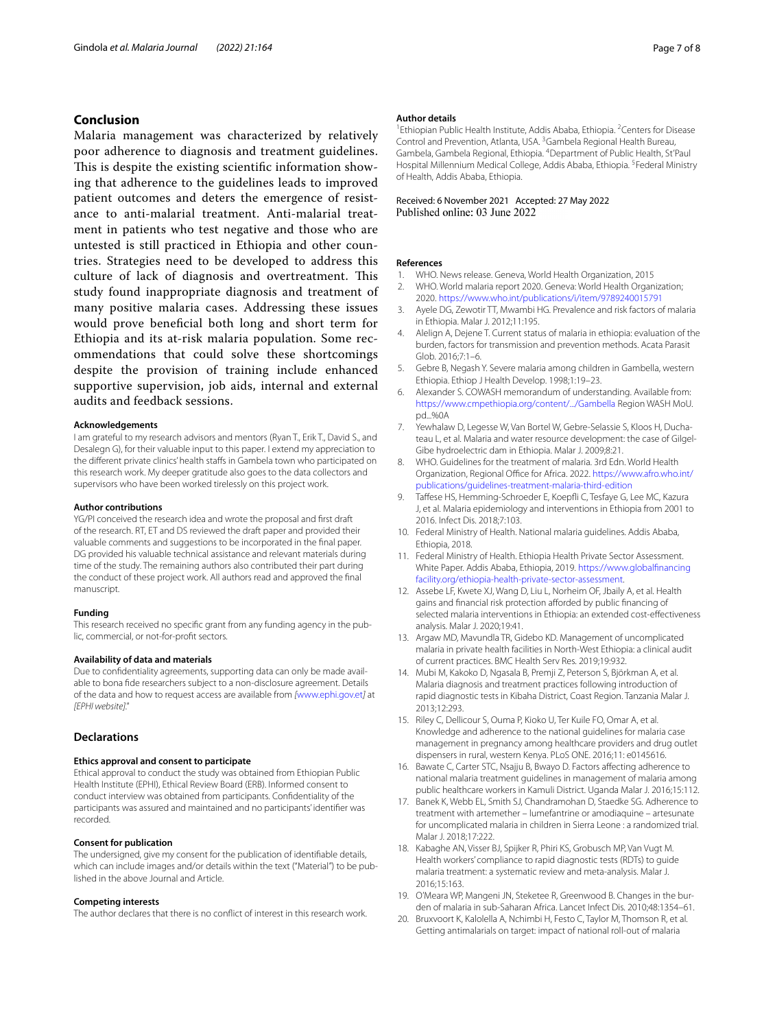# **Conclusion**

Malaria management was characterized by relatively poor adherence to diagnosis and treatment guidelines. This is despite the existing scientific information showing that adherence to the guidelines leads to improved patient outcomes and deters the emergence of resistance to anti-malarial treatment. Anti-malarial treatment in patients who test negative and those who are untested is still practiced in Ethiopia and other countries. Strategies need to be developed to address this culture of lack of diagnosis and overtreatment. This study found inappropriate diagnosis and treatment of many positive malaria cases. Addressing these issues would prove benefcial both long and short term for Ethiopia and its at-risk malaria population. Some recommendations that could solve these shortcomings despite the provision of training include enhanced supportive supervision, job aids, internal and external audits and feedback sessions.

#### **Acknowledgements**

I am grateful to my research advisors and mentors (Ryan T., Erik T., David S., and Desalegn G), for their valuable input to this paper. I extend my appreciation to the diferent private clinics' health stafs in Gambela town who participated on this research work. My deeper gratitude also goes to the data collectors and supervisors who have been worked tirelessly on this project work.

#### **Author contributions**

YG/PI conceived the research idea and wrote the proposal and frst draft of the research. RT, ET and DS reviewed the draft paper and provided their valuable comments and suggestions to be incorporated in the fnal paper. DG provided his valuable technical assistance and relevant materials during time of the study. The remaining authors also contributed their part during the conduct of these project work. All authors read and approved the fnal manuscript.

#### **Funding**

This research received no specifc grant from any funding agency in the public, commercial, or not-for-proft sectors.

#### **Availability of data and materials**

Due to confdentiality agreements, supporting data can only be made available to bona fde researchers subject to a non-disclosure agreement. Details of the data and how to request access are available from *[*[www.ephi.gov.et](http://www.ephi.gov.et)*]* at *[EPHI website]."*

#### **Declarations**

#### **Ethics approval and consent to participate**

Ethical approval to conduct the study was obtained from Ethiopian Public Health Institute (EPHI), Ethical Review Board (ERB). Informed consent to conduct interview was obtained from participants. Confdentiality of the participants was assured and maintained and no participants' identifer was recorded.

#### **Consent for publication**

The undersigned, give my consent for the publication of identifable details, which can include images and/or details within the text ("Material") to be published in the above Journal and Article.

#### **Competing interests**

The author declares that there is no confict of interest in this research work.

#### **Author details**

<sup>1</sup> Ethiopian Public Health Institute, Addis Ababa, Ethiopia. <sup>2</sup> Centers for Disease Control and Prevention, Atlanta, USA.<sup>3</sup> Gambela Regional Health Bureau, Gambela, Gambela Regional, Ethiopia. 4 Department of Public Health, St'Paul Hospital Millennium Medical College, Addis Ababa, Ethiopia. <sup>5</sup> Federal Ministry of Health, Addis Ababa, Ethiopia.

# Received: 6 November 2021 Accepted: 27 May 2022

#### **References**

- <span id="page-6-0"></span>1. WHO. News release. Geneva, World Health Organization, 2015
- <span id="page-6-1"></span>2. WHO. World malaria report 2020. Geneva: World Health Organization; 2020.<https://www.who.int/publications/i/item/9789240015791>
- <span id="page-6-2"></span>3. Ayele DG, Zewotir TT, Mwambi HG. Prevalence and risk factors of malaria in Ethiopia. Malar J. 2012;11:195.
- <span id="page-6-3"></span>4. Alelign A, Dejene T. Current status of malaria in ethiopia: evaluation of the burden, factors for transmission and prevention methods. Acata Parasit Glob. 2016;7:1–6.
- <span id="page-6-4"></span>5. Gebre B, Negash Y. Severe malaria among children in Gambella, western Ethiopia. Ethiop J Health Develop. 1998;1:19–23.
- <span id="page-6-5"></span>6. Alexander S. COWASH memorandum of understanding. Available from: <https://www.cmpethiopia.org/content/.../Gambella> Region WASH MoU. pd...%0A
- <span id="page-6-6"></span>7. Yewhalaw D, Legesse W, Van Bortel W, Gebre-Selassie S, Kloos H, Duchateau L, et al. Malaria and water resource development: the case of Gilgel-Gibe hydroelectric dam in Ethiopia. Malar J. 2009;8:21.
- <span id="page-6-7"></span>8. WHO. Guidelines for the treatment of malaria. 3rd Edn. World Health Organization, Regional Office for Africa. 2022. [https://www.afro.who.int/](https://www.afro.who.int/publications/guidelines-treatment-malaria-third-edition) [publications/guidelines-treatment-malaria-third-edition](https://www.afro.who.int/publications/guidelines-treatment-malaria-third-edition)
- <span id="page-6-8"></span>9. Taffese HS, Hemming-Schroeder E, Koepfli C, Tesfaye G, Lee MC, Kazura J, et al. Malaria epidemiology and interventions in Ethiopia from 2001 to 2016. Infect Dis. 2018;7:103.
- <span id="page-6-9"></span>10. Federal Ministry of Health. National malaria guidelines. Addis Ababa, Ethiopia, 2018.
- <span id="page-6-10"></span>11. Federal Ministry of Health. Ethiopia Health Private Sector Assessment. White Paper. Addis Ababa, Ethiopia, 2019. [https://www.globalfnancing](https://www.globalfinancingfacility.org/ethiopia-health-private-sector-assessment) [facility.org/ethiopia-health-private-sector-assessment.](https://www.globalfinancingfacility.org/ethiopia-health-private-sector-assessment)
- <span id="page-6-11"></span>12. Assebe LF, Kwete XJ, Wang D, Liu L, Norheim OF, Jbaily A, et al. Health gains and financial risk protection afforded by public financing of selected malaria interventions in Ethiopia: an extended cost-efectiveness analysis. Malar J. 2020;19:41.
- <span id="page-6-12"></span>13. Argaw MD, Mavundla TR, Gidebo KD. Management of uncomplicated malaria in private health facilities in North-West Ethiopia: a clinical audit of current practices. BMC Health Serv Res. 2019;19:932.
- <span id="page-6-13"></span>14. Mubi M, Kakoko D, Ngasala B, Premji Z, Peterson S, Björkman A, et al. Malaria diagnosis and treatment practices following introduction of rapid diagnostic tests in Kibaha District, Coast Region. Tanzania Malar J. 2013;12:293.
- <span id="page-6-14"></span>15. Riley C, Dellicour S, Ouma P, Kioko U, Ter Kuile FO, Omar A, et al. Knowledge and adherence to the national guidelines for malaria case management in pregnancy among healthcare providers and drug outlet dispensers in rural, western Kenya. PLoS ONE. 2016;11: e0145616.
- <span id="page-6-15"></span>16. Bawate C, Carter STC, Nsajju B, Bwayo D. Factors afecting adherence to national malaria treatment guidelines in management of malaria among public healthcare workers in Kamuli District. Uganda Malar J. 2016;15:112.
- <span id="page-6-16"></span>17. Banek K, Webb EL, Smith SJ, Chandramohan D, Staedke SG. Adherence to treatment with artemether – lumefantrine or amodiaquine – artesunate for uncomplicated malaria in children in Sierra Leone : a randomized trial. Malar J. 2018;17:222.
- <span id="page-6-17"></span>18. Kabaghe AN, Visser BJ, Spijker R, Phiri KS, Grobusch MP, Van Vugt M. Health workers' compliance to rapid diagnostic tests (RDTs) to guide malaria treatment: a systematic review and meta-analysis. Malar J. 2016;15:163.
- <span id="page-6-18"></span>19. O'Meara WP, Mangeni JN, Steketee R, Greenwood B. Changes in the burden of malaria in sub-Saharan Africa. Lancet Infect Dis. 2010;48:1354–61.
- <span id="page-6-19"></span>20. Bruxvoort K, Kalolella A, Nchimbi H, Festo C, Taylor M, Thomson R, et al. Getting antimalarials on target: impact of national roll-out of malaria